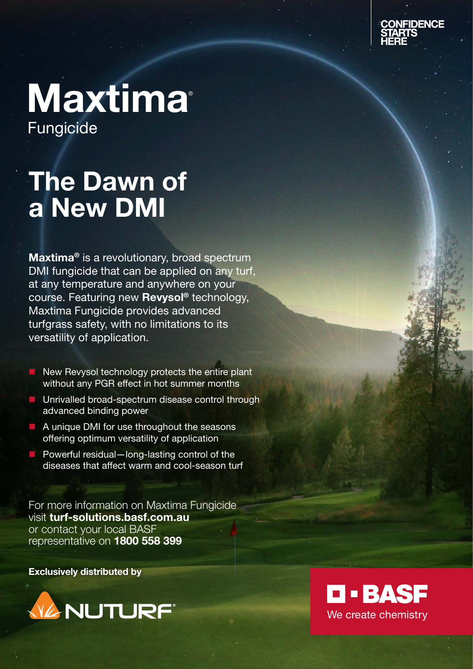

## Maxtima Fungicide ®

# The Dawn of a New DMI

Maxtima<sup>®</sup> is a revolutionary, broad spectrum DMI fungicide that can be applied on any turf, at any temperature and anywhere on your course. Featuring new Revysol® technology, Maxtima Fungicide provides advanced turfgrass safety, with no limitations to its versatility of application.

- $\blacksquare$  New Revysol technology protects the entire plant without any PGR effect in hot summer months
- $\blacksquare$  Unrivalled broad-spectrum disease control through advanced binding power
- $\blacksquare$  A unique DMI for use throughout the seasons offering optimum versatility of application
- $\blacksquare$  Powerful residual—long-lasting control of the diseases that affect warm and cool-season turf

For more information on Maxtima Fungicide visit turf-solutions.basf.com.au or contact your local BASF representative on 1800 558 399

Exclusively distributed by